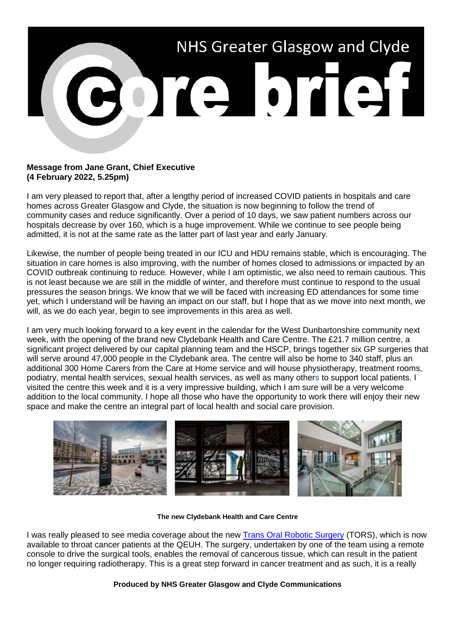

## **Message from Jane Grant, Chief Executive (4 February 2022, 5.25pm)**

I am very pleased to report that, after a lengthy period of increased COVID patients in hospitals and care homes across Greater Glasgow and Clyde, the situation is now beginning to follow the trend of community cases and reduce significantly. Over a period of 10 days, we saw patient numbers across our hospitals decrease by over 160, which is a huge improvement. While we continue to see people being admitted, it is not at the same rate as the latter part of last year and early January.

Likewise, the number of people being treated in our ICU and HDU remains stable, which is encouraging. The situation in care homes is also improving, with the number of homes closed to admissions or impacted by an COVID outbreak continuing to reduce. However, while I am optimistic, we also need to remain cautious. This is not least because we are still in the middle of winter, and therefore must continue to respond to the usual pressures the season brings. We know that we will be faced with increasing ED attendances for some time yet, which I understand will be having an impact on our staff, but I hope that as we move into next month, we will, as we do each year, begin to see improvements in this area as well.

I am very much looking forward to a key event in the calendar for the West Dunbartonshire community next week, with the opening of the brand new Clydebank Health and Care Centre. The £21.7 million centre, a significant project delivered by our capital planning team and the HSCP, brings together six GP surgeries that will serve around 47,000 people in the Clydebank area. The centre will also be home to 340 staff, plus an additional 300 Home Carers from the Care at Home service and will house physiotherapy, treatment rooms, podiatry, mental health services, sexual health services, as well as many others to support local patients. I visited the centre this week and it is a very impressive building, which I am sure will be a very welcome addition to the local community. I hope all those who have the opportunity to work there will enjoy their new space and make the centre an integral part of local health and social care provision.



## **The new Clydebank Health and Care Centre**

I was really pleased to see media coverage about the new [Trans Oral Robotic Surgery](https://news.stv.tv/west-central/robot-surgery-used-on-throat-tumours-for-first-time-in-scotland) (TORS), which is now available to throat cancer patients at the QEUH. The surgery, undertaken by one of the team using a remote console to drive the surgical tools, enables the removal of cancerous tissue, which can result in the patient no longer requiring radiotherapy. This is a great step forward in cancer treatment and as such, it is a really

## **Produced by NHS Greater Glasgow and Clyde Communications**